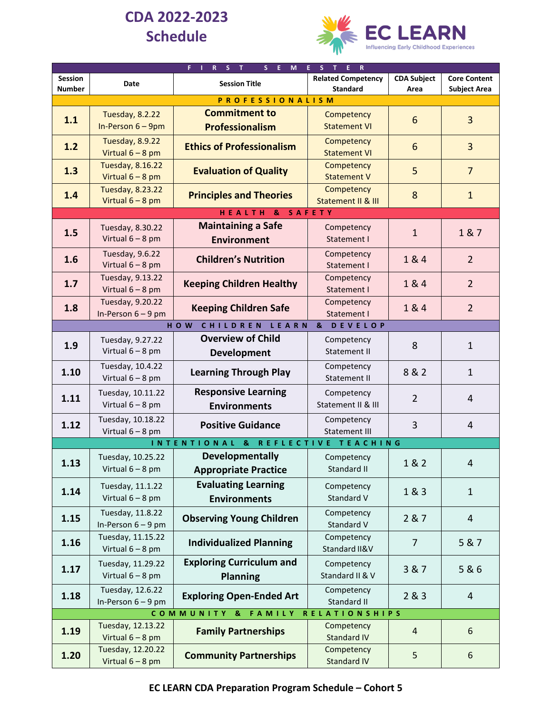## **CDA 2022-2023 Schedule**



|                                                             |                                       | E. L.<br>R S<br>$S$ $E$<br>- T   | M E S T E R                                  |                            |                                            |  |  |  |  |
|-------------------------------------------------------------|---------------------------------------|----------------------------------|----------------------------------------------|----------------------------|--------------------------------------------|--|--|--|--|
| <b>Session</b><br>Number                                    | Date                                  | <b>Session Title</b>             | <b>Related Competency</b><br><b>Standard</b> | <b>CDA Subject</b><br>Area | <b>Core Content</b><br><b>Subject Area</b> |  |  |  |  |
| <b>PROFESSIONALISM</b>                                      |                                       |                                  |                                              |                            |                                            |  |  |  |  |
|                                                             | <b>Tuesday, 8.2.22</b>                | <b>Commitment to</b>             | Competency                                   |                            |                                            |  |  |  |  |
| 1.1                                                         | In-Person $6 - 9$ pm                  | <b>Professionalism</b>           | <b>Statement VI</b>                          | 6                          | $\overline{3}$                             |  |  |  |  |
|                                                             | <b>Tuesday, 8.9.22</b>                |                                  | Competency                                   |                            |                                            |  |  |  |  |
| 1.2                                                         |                                       | <b>Ethics of Professionalism</b> |                                              | 6                          | $\overline{3}$                             |  |  |  |  |
|                                                             | Virtual $6 - 8$ pm                    |                                  | <b>Statement VI</b>                          |                            |                                            |  |  |  |  |
| 1.3                                                         | Tuesday, 8.16.22                      | <b>Evaluation of Quality</b>     | Competency                                   | 5                          | $\overline{7}$                             |  |  |  |  |
|                                                             | Virtual $6 - 8$ pm                    |                                  | <b>Statement V</b>                           |                            |                                            |  |  |  |  |
| 1.4                                                         | Tuesday, 8.23.22                      | <b>Principles and Theories</b>   | Competency                                   | 8                          | $\mathbf{1}$                               |  |  |  |  |
|                                                             | Virtual $6 - 8$ pm                    |                                  | Statement II & III                           |                            |                                            |  |  |  |  |
| HEALTH<br>SAFETY<br>&                                       |                                       |                                  |                                              |                            |                                            |  |  |  |  |
|                                                             | Tuesday, 8.30.22                      | <b>Maintaining a Safe</b>        | Competency                                   |                            |                                            |  |  |  |  |
| 1.5                                                         | Virtual $6 - 8$ pm                    | <b>Environment</b>               | Statement I                                  | $\mathbf{1}$               | 1&7                                        |  |  |  |  |
|                                                             |                                       |                                  |                                              |                            |                                            |  |  |  |  |
| 1.6                                                         | Tuesday, 9.6.22<br>Virtual $6 - 8$ pm | <b>Children's Nutrition</b>      | Competency                                   | 1 & 4                      | $\overline{2}$                             |  |  |  |  |
|                                                             |                                       |                                  | Statement I                                  |                            |                                            |  |  |  |  |
| 1.7                                                         | Tuesday, 9.13.22                      | <b>Keeping Children Healthy</b>  | Competency                                   | 1 & 4                      | $\overline{2}$                             |  |  |  |  |
|                                                             | Virtual $6 - 8$ pm                    |                                  | Statement I                                  |                            |                                            |  |  |  |  |
| 1.8                                                         | Tuesday, 9.20.22                      | <b>Keeping Children Safe</b>     | Competency                                   | 1 & 4                      | $\overline{2}$                             |  |  |  |  |
|                                                             | In-Person $6 - 9$ pm                  |                                  | Statement I                                  |                            |                                            |  |  |  |  |
|                                                             |                                       | HOW<br>CHILDREN LEARN            | <b>DEVELOP</b><br>$\mathbf{g}$               |                            |                                            |  |  |  |  |
| 1.9                                                         | Tuesday, 9.27.22                      | <b>Overview of Child</b>         | Competency                                   | 8                          | $\mathbf{1}$                               |  |  |  |  |
|                                                             | Virtual $6 - 8$ pm                    | Development                      | Statement II                                 |                            |                                            |  |  |  |  |
|                                                             | Tuesday, 10.4.22                      |                                  | Competency                                   |                            |                                            |  |  |  |  |
| 1.10                                                        | Virtual $6 - 8$ pm                    | <b>Learning Through Play</b>     | Statement II                                 | 8 & 2                      | $\mathbf{1}$                               |  |  |  |  |
|                                                             | Tuesday, 10.11.22                     | <b>Responsive Learning</b>       |                                              |                            |                                            |  |  |  |  |
| 1.11                                                        |                                       |                                  | Competency<br>Statement II & III             | $\overline{2}$             | 4                                          |  |  |  |  |
|                                                             | Virtual $6 - 8$ pm                    | <b>Environments</b>              |                                              |                            |                                            |  |  |  |  |
| 1.12                                                        | Tuesday, 10.18.22                     | <b>Positive Guidance</b>         | Competency                                   | 3                          | 4                                          |  |  |  |  |
|                                                             | Virtual $6 - 8$ pm                    |                                  | Statement III                                |                            |                                            |  |  |  |  |
|                                                             |                                       | INTENTIONAL &                    | REFLECTIVE TEACHING                          |                            |                                            |  |  |  |  |
| 1.13                                                        | Tuesday, 10.25.22                     | <b>Developmentally</b>           | Competency                                   | 1 & 2                      | 4                                          |  |  |  |  |
|                                                             | Virtual $6 - 8$ pm                    | <b>Appropriate Practice</b>      | Standard II                                  |                            |                                            |  |  |  |  |
|                                                             | Tuesday, 11.1.22                      | <b>Evaluating Learning</b>       | Competency                                   |                            |                                            |  |  |  |  |
| 1.14                                                        | Virtual $6 - 8$ pm                    | <b>Environments</b>              | Standard V                                   | 1 & 3                      | $\mathbf{1}$                               |  |  |  |  |
|                                                             |                                       |                                  |                                              |                            |                                            |  |  |  |  |
| 1.15                                                        | Tuesday, 11.8.22                      | <b>Observing Young Children</b>  | Competency                                   | 2 & 7                      | 4                                          |  |  |  |  |
|                                                             | In-Person $6 - 9$ pm                  |                                  | Standard V                                   |                            |                                            |  |  |  |  |
| 1.16                                                        | Tuesday, 11.15.22                     | <b>Individualized Planning</b>   | Competency                                   | 7                          | 5 & 7                                      |  |  |  |  |
|                                                             | Virtual $6 - 8$ pm                    |                                  | Standard II&V                                |                            |                                            |  |  |  |  |
| 1.17                                                        | Tuesday, 11.29.22                     | <b>Exploring Curriculum and</b>  | Competency                                   | 3 & 7                      | 5&6                                        |  |  |  |  |
|                                                             | Virtual $6 - 8$ pm                    | <b>Planning</b>                  | Standard II & V                              |                            |                                            |  |  |  |  |
|                                                             | Tuesday, 12.6.22                      |                                  | Competency                                   |                            |                                            |  |  |  |  |
| 1.18                                                        | In-Person $6 - 9$ pm                  | <b>Exploring Open-Ended Art</b>  | Standard II                                  | 2 & 3                      | 4                                          |  |  |  |  |
| COMMUNITY<br><b>RELATIONSHIPS</b><br>$\mathbf{g}$<br>FAMILY |                                       |                                  |                                              |                            |                                            |  |  |  |  |
|                                                             | Tuesday, 12.13.22                     |                                  | Competency                                   |                            |                                            |  |  |  |  |
| 1.19                                                        | Virtual $6 - 8$ pm                    | <b>Family Partnerships</b>       | <b>Standard IV</b>                           | $\overline{4}$             | 6                                          |  |  |  |  |
|                                                             | Tuesday, 12.20.22                     |                                  | Competency                                   |                            |                                            |  |  |  |  |
| 1.20                                                        | Virtual $6 - 8$ pm                    | <b>Community Partnerships</b>    | <b>Standard IV</b>                           | 5                          | 6                                          |  |  |  |  |
|                                                             |                                       |                                  |                                              |                            |                                            |  |  |  |  |